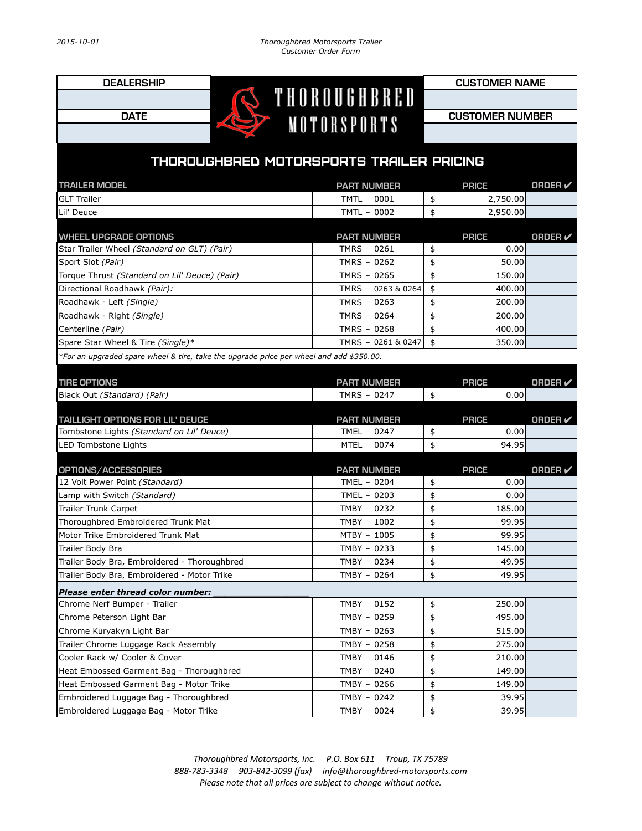DEALERSHIP<br> **CUSTOMER NAME** 

**DATE CUSTOMER NUMBER** 

## THOROUGHBRED MOTORSPORTS TRAILER PRICING

| <b>TRAILER MODEL</b>                                                                    | <b>PART NUMBER</b> | <b>PRICE</b> | ORDER $\checkmark$ |
|-----------------------------------------------------------------------------------------|--------------------|--------------|--------------------|
| <b>GLT Trailer</b>                                                                      | TMTL - 0001        | \$           | 2,750.00           |
| Lil' Deuce                                                                              | TMTL - 0002        | \$           | 2,950.00           |
|                                                                                         |                    |              |                    |
| <b>WHEEL UPGRADE OPTIONS</b>                                                            | <b>PART NUMBER</b> | <b>PRICE</b> | <b>ORDER</b> ✔     |
| Star Trailer Wheel (Standard on GLT) (Pair)                                             | TMRS - 0261        | \$           | 0.00               |
| Sport Slot (Pair)                                                                       | TMRS - 0262        | \$           | 50.00              |
| Torque Thrust (Standard on Lil' Deuce) (Pair)                                           | TMRS - 0265        | \$           | 150.00             |
| Directional Roadhawk (Pair):                                                            | TMRS - 0263 & 0264 | \$           | 400.00             |
| Roadhawk - Left (Single)                                                                | TMRS - 0263        | \$           | 200.00             |
| Roadhawk - Right (Single)                                                               | TMRS - 0264        | \$           | 200.00             |
| Centerline (Pair)                                                                       | TMRS - 0268        | \$           | 400.00             |
| Spare Star Wheel & Tire (Single)*                                                       | TMRS - 0261 & 0247 | \$           | 350.00             |
| *For an upgraded spare wheel & tire, take the upgrade price per wheel and add \$350.00. |                    |              |                    |
|                                                                                         |                    |              |                    |
| <b>TIRE OPTIONS</b>                                                                     | <b>PART NUMBER</b> | <b>PRICE</b> | ORDER $\checkmark$ |
| Black Out (Standard) (Pair)                                                             | TMRS - 0247        | \$           | 0.00               |
|                                                                                         |                    |              |                    |
| <b>TAILLIGHT OPTIONS FOR LIL' DEUCE</b>                                                 | <b>PART NUMBER</b> | <b>PRICE</b> | <b>ORDER</b>       |
| Tombstone Lights (Standard on Lil' Deuce)                                               | TMEL - 0247        | \$           | 0.00               |
| LED Tombstone Lights                                                                    | MTEL - 0074        | \$           | 94.95              |
| OPTIONS/ACCESSORIES                                                                     | <b>PART NUMBER</b> | <b>PRICE</b> | ORDER $\checkmark$ |
| 12 Volt Power Point (Standard)                                                          | TMEL - 0204        | \$           | 0.00               |
| Lamp with Switch (Standard)                                                             | TMEL - 0203        | \$           | 0.00               |
| <b>Trailer Trunk Carpet</b>                                                             | TMBY - 0232        | \$           | 185.00             |
| Thoroughbred Embroidered Trunk Mat                                                      | TMBY - 1002        | \$           | 99.95              |
| Motor Trike Embroidered Trunk Mat                                                       | MTBY - 1005        | \$           | 99.95              |
| Trailer Body Bra                                                                        | TMBY - 0233        | \$           | 145.00             |
| Trailer Body Bra, Embroidered - Thoroughbred                                            | TMBY - 0234        | \$           | 49.95              |
| Trailer Body Bra, Embroidered - Motor Trike                                             | TMBY - 0264        | \$           | 49.95              |
| Please enter thread color number:                                                       |                    |              |                    |
| Chrome Nerf Bumper - Trailer                                                            | TMBY - 0152        | \$           | 250.00             |
| Chrome Peterson Light Bar                                                               | TMBY - 0259        | \$           | 495.00             |
| Chrome Kuryakyn Light Bar                                                               | TMBY - 0263        | \$           | 515.00             |
| Trailer Chrome Luggage Rack Assembly                                                    | TMBY - 0258        | \$           | 275.00             |
| Cooler Rack w/ Cooler & Cover                                                           | TMBY - 0146        | \$           | 210.00             |
| Heat Embossed Garment Bag - Thoroughbred                                                | TMBY - 0240        | \$           | 149.00             |
| Heat Embossed Garment Bag - Motor Trike                                                 | TMBY - 0266        | \$           | 149.00             |
| Embroidered Luggage Bag - Thoroughbred                                                  | TMBY - 0242        | \$           | 39.95              |
| Embroidered Luggage Bag - Motor Trike                                                   | TMBY - 0024        | \$           | 39.95              |